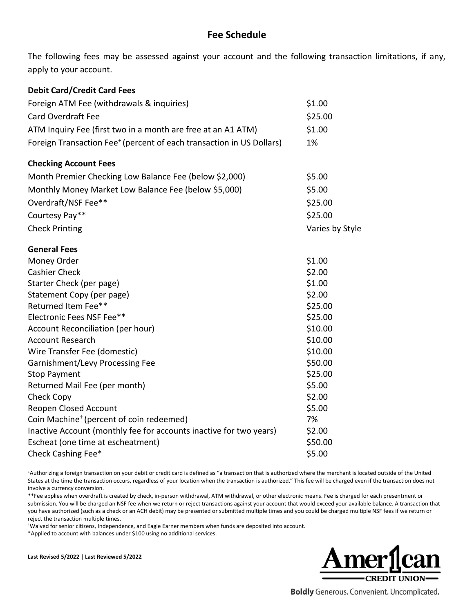## **Fee Schedule**

The following fees may be assessed against your account and the following transaction limitations, if any, apply to your account.

## **Debit Card/Credit Card Fees**

| Foreign ATM Fee (withdrawals & inquiries)                                        | \$1.00          |
|----------------------------------------------------------------------------------|-----------------|
| <b>Card Overdraft Fee</b>                                                        | \$25.00         |
| ATM Inquiry Fee (first two in a month are free at an A1 ATM)                     | \$1.00          |
| Foreign Transaction Fee <sup>+</sup> (percent of each transaction in US Dollars) | 1%              |
| <b>Checking Account Fees</b>                                                     |                 |
| Month Premier Checking Low Balance Fee (below \$2,000)                           | \$5.00          |
| Monthly Money Market Low Balance Fee (below \$5,000)                             | \$5.00          |
| Overdraft/NSF Fee**                                                              | \$25.00         |
| Courtesy Pay**                                                                   | \$25.00         |
| <b>Check Printing</b>                                                            | Varies by Style |
| <b>General Fees</b>                                                              |                 |
| Money Order                                                                      | \$1.00          |
| <b>Cashier Check</b>                                                             | \$2.00          |
| Starter Check (per page)                                                         | \$1.00          |
| Statement Copy (per page)                                                        | \$2.00          |
| Returned Item Fee**                                                              | \$25.00         |
| Electronic Fees NSF Fee**                                                        | \$25.00         |
| Account Reconciliation (per hour)                                                | \$10.00         |
| <b>Account Research</b>                                                          | \$10.00         |
| Wire Transfer Fee (domestic)                                                     | \$10.00         |
| Garnishment/Levy Processing Fee                                                  | \$50.00         |
| <b>Stop Payment</b>                                                              | \$25.00         |
| Returned Mail Fee (per month)                                                    | \$5.00          |
| Check Copy                                                                       | \$2.00          |
| Reopen Closed Account                                                            | \$5.00          |
| Coin Machine <sup>†</sup> (percent of coin redeemed)                             | 7%              |
| Inactive Account (monthly fee for accounts inactive for two years)               | \$2.00          |
| Escheat (one time at escheatment)                                                | \$50.00         |
| Check Cashing Fee*                                                               | \$5.00          |

<sup>+</sup>Authorizing a foreign transaction on your debit or credit card is defined as "a transaction that is authorized where the merchant is located outside of the United States at the time the transaction occurs, regardless of your location when the transaction is authorized." This fee will be charged even if the transaction does not involve a currency conversion.

\*\*Fee applies when overdraft is created by check, in-person withdrawal, ATM withdrawal, or other electronic means. Fee is charged for each presentment or submission. You will be charged an NSF fee when we return or reject transactions against your account that would exceed your available balance. A transaction that you have authorized (such as a check or an ACH debit) may be presented or submitted multiple times and you could be charged multiple NSF fees if we return or reject the transaction multiple times.

†Waived for senior citizens, Independence, and Eagle Earner members when funds are deposited into account.

\*Applied to account with balances under \$100 using no additional services.

**Last Revised 5/2022 | Last Reviewed 5/2022**



**Boldly** Generous. Convenient. Uncomplicated.